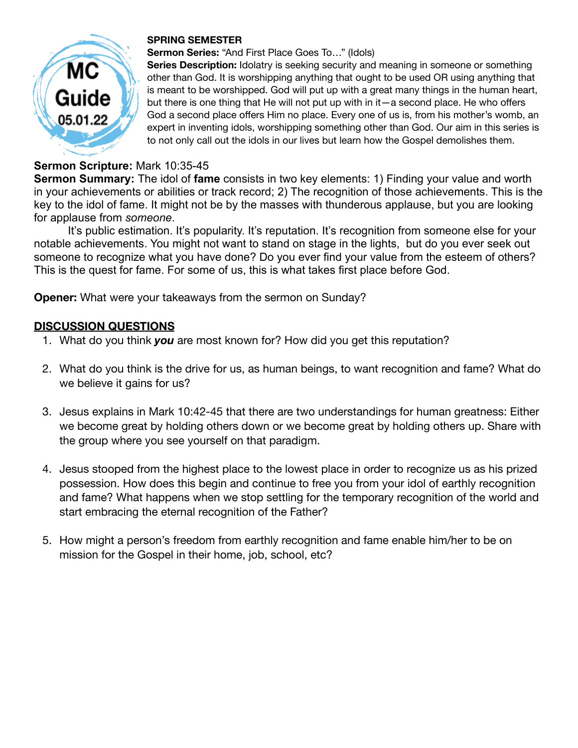

### **SPRING SEMESTER**

#### **Sermon Series:** "And First Place Goes To…" (Idols)

**Series Description:** Idolatry is seeking security and meaning in someone or something other than God. It is worshipping anything that ought to be used OR using anything that is meant to be worshipped. God will put up with a great many things in the human heart, but there is one thing that He will not put up with in it—a second place. He who offers God a second place offers Him no place. Every one of us is, from his mother's womb, an expert in inventing idols, worshipping something other than God. Our aim in this series is to not only call out the idols in our lives but learn how the Gospel demolishes them.

### **Sermon Scripture:** Mark 10:35-45

**Sermon Summary:** The idol of **fame** consists in two key elements: 1) Finding your value and worth in your achievements or abilities or track record; 2) The recognition of those achievements. This is the key to the idol of fame. It might not be by the masses with thunderous applause, but you are looking for applause from *someone*.

It's public estimation. It's popularity. It's reputation. It's recognition from someone else for your notable achievements. You might not want to stand on stage in the lights, but do you ever seek out someone to recognize what you have done? Do you ever find your value from the esteem of others? This is the quest for fame. For some of us, this is what takes first place before God.

**Opener:** What were your takeaways from the sermon on Sunday?

## **DISCUSSION QUESTIONS**

- 1. What do you think *you* are most known for? How did you get this reputation?
- 2. What do you think is the drive for us, as human beings, to want recognition and fame? What do we believe it gains for us?
- 3. Jesus explains in Mark 10:42-45 that there are two understandings for human greatness: Either we become great by holding others down or we become great by holding others up. Share with the group where you see yourself on that paradigm.
- 4. Jesus stooped from the highest place to the lowest place in order to recognize us as his prized possession. How does this begin and continue to free you from your idol of earthly recognition and fame? What happens when we stop settling for the temporary recognition of the world and start embracing the eternal recognition of the Father?
- 5. How might a person's freedom from earthly recognition and fame enable him/her to be on mission for the Gospel in their home, job, school, etc?